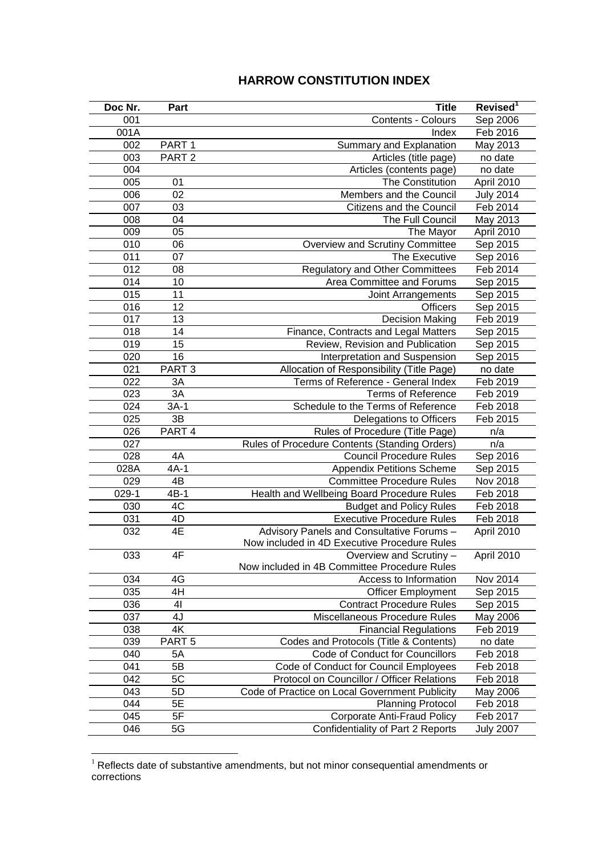## **HARROW CONSTITUTION INDEX**

| Doc Nr. | Part              | <b>Title</b>                                   | Revised <sup>1</sup> |
|---------|-------------------|------------------------------------------------|----------------------|
| 001     |                   | Contents - Colours                             | Sep 2006             |
| 001A    |                   | Index                                          | Feb 2016             |
| 002     | PART <sub>1</sub> | Summary and Explanation                        | May 2013             |
| 003     | PART <sub>2</sub> | Articles (title page)                          | no date              |
| 004     |                   | Articles (contents page)                       | no date              |
| 005     | 01                | The Constitution                               | April 2010           |
| 006     | 02                | Members and the Council                        | <b>July 2014</b>     |
| 007     | 03                | Citizens and the Council                       | Feb 2014             |
| 008     | 04                | The Full Council                               | May 2013             |
| 009     | 05                | The Mayor                                      | April 2010           |
| 010     | 06                | Overview and Scrutiny Committee                | Sep 2015             |
| 011     | 07                | The Executive                                  | Sep 2016             |
| 012     | 08                | <b>Regulatory and Other Committees</b>         | Feb 2014             |
| 014     | 10                | Area Committee and Forums                      | Sep 2015             |
| 015     | 11                | Joint Arrangements                             | Sep 2015             |
| 016     | 12                | <b>Officers</b>                                | Sep 2015             |
| 017     | 13                | <b>Decision Making</b>                         | Feb 2019             |
| 018     | 14                | Finance, Contracts and Legal Matters           | Sep 2015             |
| 019     | 15                | Review, Revision and Publication               | Sep 2015             |
| 020     | 16                | Interpretation and Suspension                  | Sep 2015             |
| 021     | PART <sub>3</sub> | Allocation of Responsibility (Title Page)      | no date              |
| 022     | 3A                | Terms of Reference - General Index             | Feb 2019             |
| 023     | 3A                | <b>Terms of Reference</b>                      | Feb 2019             |
| 024     | $3A-1$            | Schedule to the Terms of Reference             | Feb 2018             |
| 025     | 3B                | Delegations to Officers                        | Feb 2015             |
| 026     | PART <sub>4</sub> | Rules of Procedure (Title Page)                | n/a                  |
| 027     |                   | Rules of Procedure Contents (Standing Orders)  | n/a                  |
| 028     | 4A                | <b>Council Procedure Rules</b>                 | Sep 2016             |
| 028A    | $4A-1$            | <b>Appendix Petitions Scheme</b>               | Sep 2015             |
| 029     | $4\overline{B}$   | <b>Committee Procedure Rules</b>               | Nov 2018             |
| $029-1$ | $4B-1$            | Health and Wellbeing Board Procedure Rules     | Feb 2018             |
| 030     | 4C                | <b>Budget and Policy Rules</b>                 | Feb 2018             |
| 031     | 4D                | <b>Executive Procedure Rules</b>               | Feb 2018             |
| 032     | 4E                | Advisory Panels and Consultative Forums -      | April 2010           |
|         |                   | Now included in 4D Executive Procedure Rules   |                      |
| 033     | 4F                | Overview and Scrutiny -                        | April 2010           |
|         |                   | Now included in 4B Committee Procedure Rules   |                      |
| 034     | 4G                | Access to Information                          | Nov 2014             |
| 035     | 4H                | <b>Officer Employment</b>                      | Sep 2015             |
| 036     | 41                | <b>Contract Procedure Rules</b>                | Sep 2015             |
| 037     | 4J                | Miscellaneous Procedure Rules                  | May 2006             |
| 038     | 4K                | <b>Financial Regulations</b>                   | Feb 2019             |
| 039     | PART <sub>5</sub> | Codes and Protocols (Title & Contents)         | no date              |
| 040     | 5A                | Code of Conduct for Councillors                | Feb 2018             |
| 041     | 5B                | Code of Conduct for Council Employees          | Feb 2018             |
| 042     | 5C                | Protocol on Councillor / Officer Relations     | Feb 2018             |
| 043     | 5D                | Code of Practice on Local Government Publicity | May 2006             |
| 044     | 5E                | <b>Planning Protocol</b>                       | Feb 2018             |
| 045     | 5F                | <b>Corporate Anti-Fraud Policy</b>             | Feb 2017             |
| 046     | 5G                | Confidentiality of Part 2 Reports              | <b>July 2007</b>     |

 Reflects date of substantive amendments, but not minor consequential amendments or corrections

<u>.</u>